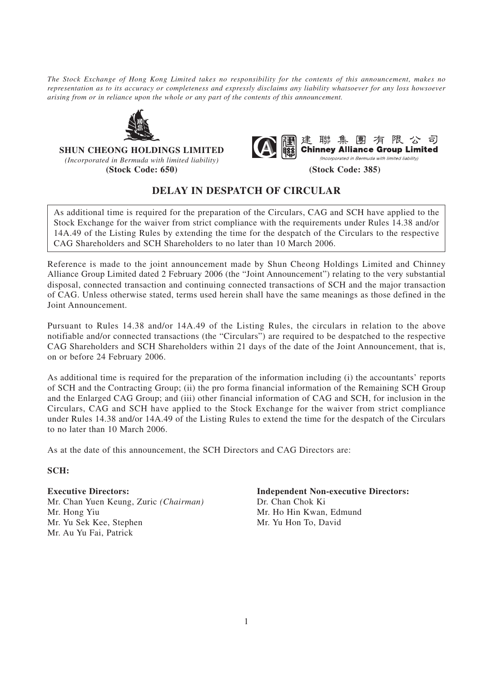*The Stock Exchange of Hong Kong Limited takes no responsibility for the contents of this announcement, makes no representation as to its accuracy or completeness and expressly disclaims any liability whatsoever for any loss howsoever arising from or in reliance upon the whole or any part of the contents of this announcement.*



**SHUN CHEONG HOLDINGS LIMITED**

*(Incorporated in Bermuda with limited liability)* **(Stock Code: 650) (Stock Code: 385)**



## **DELAY IN DESPATCH OF CIRCULAR**

As additional time is required for the preparation of the Circulars, CAG and SCH have applied to the Stock Exchange for the waiver from strict compliance with the requirements under Rules 14.38 and/or 14A.49 of the Listing Rules by extending the time for the despatch of the Circulars to the respective CAG Shareholders and SCH Shareholders to no later than 10 March 2006.

Reference is made to the joint announcement made by Shun Cheong Holdings Limited and Chinney Alliance Group Limited dated 2 February 2006 (the "Joint Announcement") relating to the very substantial disposal, connected transaction and continuing connected transactions of SCH and the major transaction of CAG. Unless otherwise stated, terms used herein shall have the same meanings as those defined in the Joint Announcement.

Pursuant to Rules 14.38 and/or 14A.49 of the Listing Rules, the circulars in relation to the above notifiable and/or connected transactions (the "Circulars") are required to be despatched to the respective CAG Shareholders and SCH Shareholders within 21 days of the date of the Joint Announcement, that is, on or before 24 February 2006.

As additional time is required for the preparation of the information including (i) the accountants' reports of SCH and the Contracting Group; (ii) the pro forma financial information of the Remaining SCH Group and the Enlarged CAG Group; and (iii) other financial information of CAG and SCH, for inclusion in the Circulars, CAG and SCH have applied to the Stock Exchange for the waiver from strict compliance under Rules 14.38 and/or 14A.49 of the Listing Rules to extend the time for the despatch of the Circulars to no later than 10 March 2006.

As at the date of this announcement, the SCH Directors and CAG Directors are:

**SCH:**

Mr. Chan Yuen Keung, Zuric *(Chairman)* Dr. Chan Chok Ki Mr. Hong Yiu Mr. Ho Hin Kwan, Edmund Mr. Yu Sek Kee, Stephen Mr. Yu Hon To, David Mr. Au Yu Fai, Patrick

**Executive Directors: Independent Non-executive Directors:**